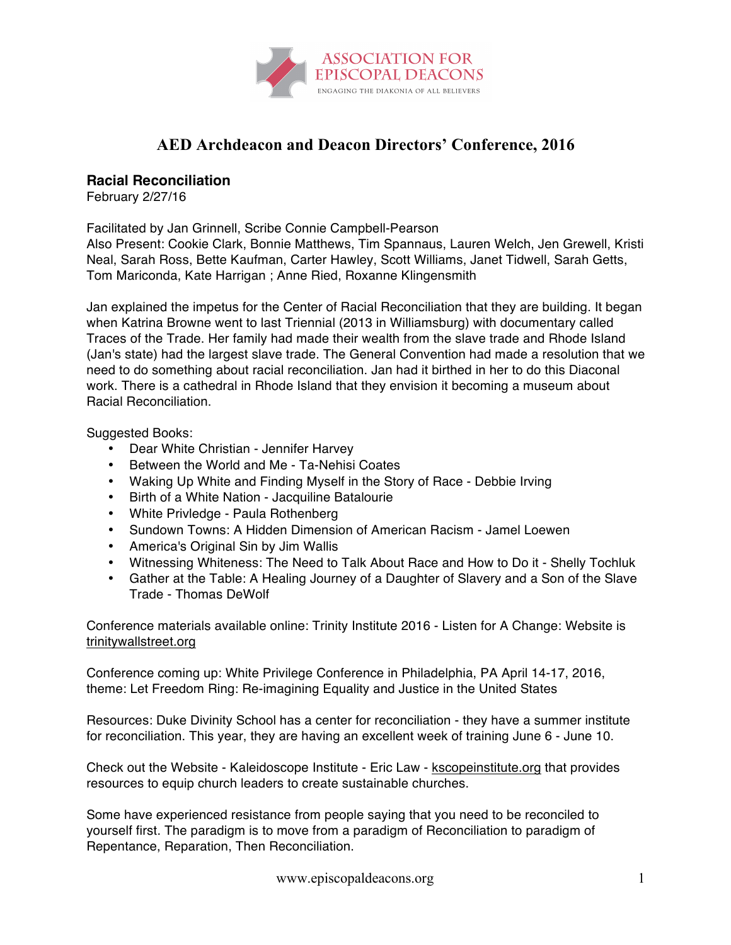

## **AED Archdeacon and Deacon Directors' Conference, 2016**

## **Racial Reconciliation**

February 2/27/16

Facilitated by Jan Grinnell, Scribe Connie Campbell-Pearson

Also Present: Cookie Clark, Bonnie Matthews, Tim Spannaus, Lauren Welch, Jen Grewell, Kristi Neal, Sarah Ross, Bette Kaufman, Carter Hawley, Scott Williams, Janet Tidwell, Sarah Getts, Tom Mariconda, Kate Harrigan ; Anne Ried, Roxanne Klingensmith

Jan explained the impetus for the Center of Racial Reconciliation that they are building. It began when Katrina Browne went to last Triennial (2013 in Williamsburg) with documentary called Traces of the Trade. Her family had made their wealth from the slave trade and Rhode Island (Jan's state) had the largest slave trade. The General Convention had made a resolution that we need to do something about racial reconciliation. Jan had it birthed in her to do this Diaconal work. There is a cathedral in Rhode Island that they envision it becoming a museum about Racial Reconciliation.

Suggested Books:

- Dear White Christian Jennifer Harvey
- Between the World and Me Ta-Nehisi Coates
- Waking Up White and Finding Myself in the Story of Race Debbie Irving
- Birth of a White Nation Jacquiline Batalourie
- White Privledge Paula Rothenberg
- Sundown Towns: A Hidden Dimension of American Racism Jamel Loewen
- America's Original Sin by Jim Wallis
- Witnessing Whiteness: The Need to Talk About Race and How to Do it Shelly Tochluk
- Gather at the Table: A Healing Journey of a Daughter of Slavery and a Son of the Slave Trade - Thomas DeWolf

Conference materials available online: Trinity Institute 2016 - Listen for A Change: Website is trinitywallstreet.org

Conference coming up: White Privilege Conference in Philadelphia, PA April 14-17, 2016, theme: Let Freedom Ring: Re-imagining Equality and Justice in the United States

Resources: Duke Divinity School has a center for reconciliation - they have a summer institute for reconciliation. This year, they are having an excellent week of training June 6 - June 10.

Check out the Website - Kaleidoscope Institute - Eric Law - kscopeinstitute.org that provides resources to equip church leaders to create sustainable churches.

Some have experienced resistance from people saying that you need to be reconciled to yourself first. The paradigm is to move from a paradigm of Reconciliation to paradigm of Repentance, Reparation, Then Reconciliation.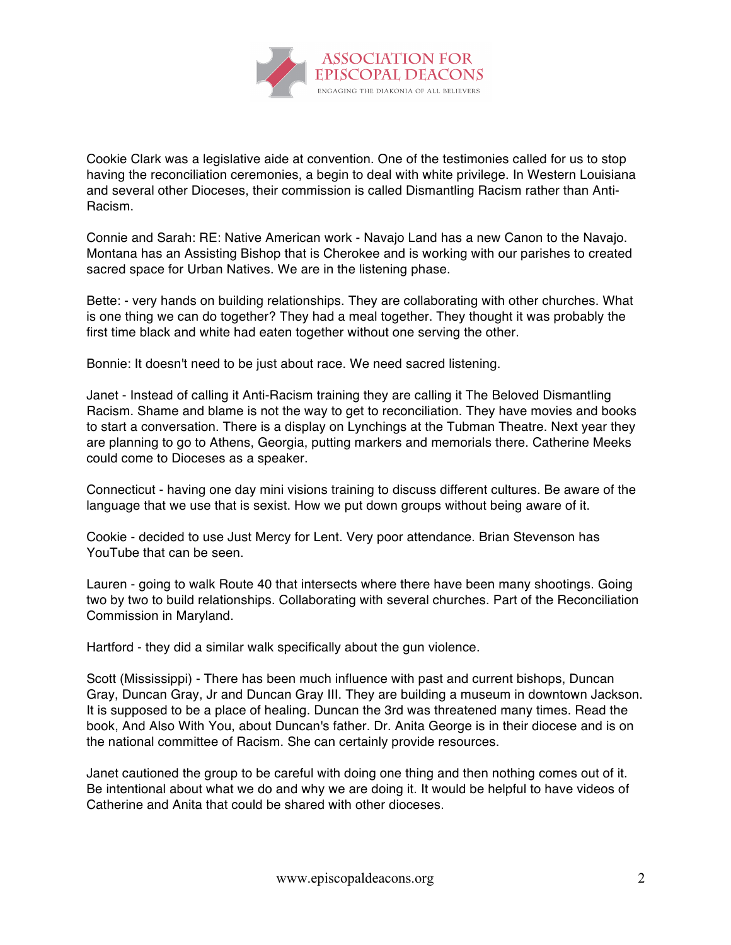

Cookie Clark was a legislative aide at convention. One of the testimonies called for us to stop having the reconciliation ceremonies, a begin to deal with white privilege. In Western Louisiana and several other Dioceses, their commission is called Dismantling Racism rather than Anti-Racism.

Connie and Sarah: RE: Native American work - Navajo Land has a new Canon to the Navajo. Montana has an Assisting Bishop that is Cherokee and is working with our parishes to created sacred space for Urban Natives. We are in the listening phase.

Bette: - very hands on building relationships. They are collaborating with other churches. What is one thing we can do together? They had a meal together. They thought it was probably the first time black and white had eaten together without one serving the other.

Bonnie: It doesn't need to be just about race. We need sacred listening.

Janet - Instead of calling it Anti-Racism training they are calling it The Beloved Dismantling Racism. Shame and blame is not the way to get to reconciliation. They have movies and books to start a conversation. There is a display on Lynchings at the Tubman Theatre. Next year they are planning to go to Athens, Georgia, putting markers and memorials there. Catherine Meeks could come to Dioceses as a speaker.

Connecticut - having one day mini visions training to discuss different cultures. Be aware of the language that we use that is sexist. How we put down groups without being aware of it.

Cookie - decided to use Just Mercy for Lent. Very poor attendance. Brian Stevenson has YouTube that can be seen.

Lauren - going to walk Route 40 that intersects where there have been many shootings. Going two by two to build relationships. Collaborating with several churches. Part of the Reconciliation Commission in Maryland.

Hartford - they did a similar walk specifically about the gun violence.

Scott (Mississippi) - There has been much influence with past and current bishops, Duncan Gray, Duncan Gray, Jr and Duncan Gray III. They are building a museum in downtown Jackson. It is supposed to be a place of healing. Duncan the 3rd was threatened many times. Read the book, And Also With You, about Duncan's father. Dr. Anita George is in their diocese and is on the national committee of Racism. She can certainly provide resources.

Janet cautioned the group to be careful with doing one thing and then nothing comes out of it. Be intentional about what we do and why we are doing it. It would be helpful to have videos of Catherine and Anita that could be shared with other dioceses.